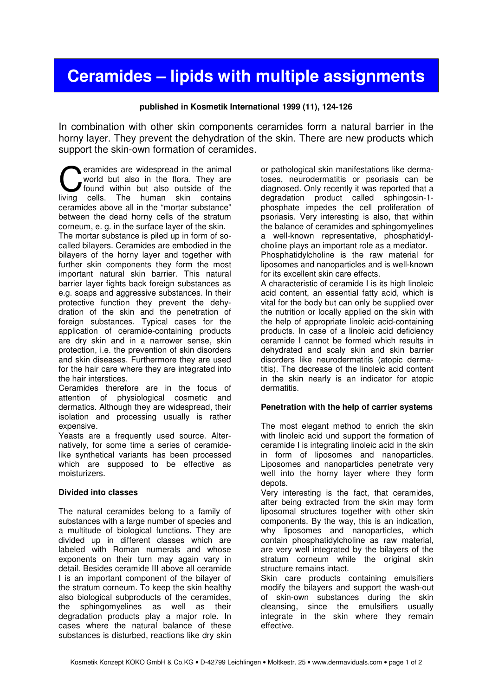# **Ceramides – lipids with multiple assignments**

#### **published in Kosmetik International 1999 (11), 124-126**

In combination with other skin components ceramides form a natural barrier in the horny layer. They prevent the dehydration of the skin. There are new products which support the skin-own formation of ceramides.

eramides are widespread in the animal world but also in the flora. They are found within but also outside of the **C** eramides are widespread in the animal world but also in the flora. They are found within but also outside of the living cells. The human skin contains ceramides above all in the "mortar substance" between the dead horny cells of the stratum corneum, e. g. in the surface layer of the skin.

The mortar substance is piled up in form of socalled bilayers. Ceramides are embodied in the bilayers of the horny layer and together with further skin components they form the most important natural skin barrier. This natural barrier layer fights back foreign substances as e.g. soaps and aggressive substances. In their protective function they prevent the dehydration of the skin and the penetration of foreign substances. Typical cases for the application of ceramide-containing products are dry skin and in a narrower sense, skin protection, i.e. the prevention of skin disorders and skin diseases. Furthermore they are used for the hair care where they are integrated into the hair interstices.

Ceramides therefore are in the focus of attention of physiological cosmetic and dermatics. Although they are widespread, their isolation and processing usually is rather expensive.

Yeasts are a frequently used source. Alternatively, for some time a series of ceramidelike synthetical variants has been processed which are supposed to be effective as moisturizers.

#### **Divided into classes**

The natural ceramides belong to a family of substances with a large number of species and a multitude of biological functions. They are divided up in different classes which are labeled with Roman numerals and whose exponents on their turn may again vary in detail. Besides ceramide III above all ceramide I is an important component of the bilayer of the stratum corneum. To keep the skin healthy also biological subproducts of the ceramides, the sphingomyelines as well as their degradation products play a major role. In cases where the natural balance of these substances is disturbed, reactions like dry skin

or pathological skin manifestations like dermatoses, neurodermatitis or psoriasis can be diagnosed. Only recently it was reported that a degradation product called sphingosin-1 phosphate impedes the cell proliferation of psoriasis. Very interesting is also, that within the balance of ceramides and sphingomyelines a well-known representative, phosphatidylcholine plays an important role as a mediator. Phosphatidylcholine is the raw material for liposomes and nanoparticles and is well-known for its excellent skin care effects. A characteristic of ceramide I is its high linoleic acid content, an essential fatty acid, which is vital for the body but can only be supplied over the nutrition or locally applied on the skin with the help of appropriate linoleic acid-containing products. In case of a linoleic acid deficiency ceramide I cannot be formed which results in dehydrated and scaly skin and skin barrier disorders like neurodermatitis (atopic dermatitis). The decrease of the linoleic acid content in the skin nearly is an indicator for atopic

## **Penetration with the help of carrier systems**

dermatitis.

The most elegant method to enrich the skin with linoleic acid und support the formation of ceramide I is integrating linoleic acid in the skin in form of liposomes and nanoparticles. Liposomes and nanoparticles penetrate very well into the horny layer where they form depots.

Very interesting is the fact, that ceramides, after being extracted from the skin may form liposomal structures together with other skin components. By the way, this is an indication, why liposomes and nanoparticles, which contain phosphatidylcholine as raw material, are very well integrated by the bilayers of the stratum corneum while the original skin structure remains intact.

Skin care products containing emulsifiers modify the bilayers and support the wash-out of skin-own substances during the skin cleansing, since the emulsifiers usually integrate in the skin where they remain effective.